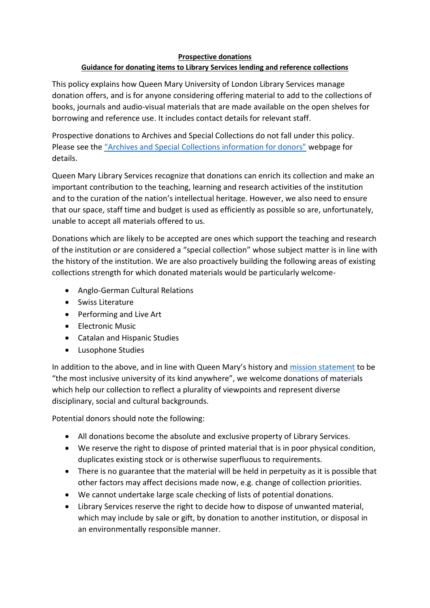## **Prospective donations**

## **Guidance for donating items to Library Services lending and reference collections**

This policy explains how Queen Mary University of London Library Services manage donation offers, and is for anyone considering offering material to add to the collections of books, journals and audio-visual materials that are made available on the open shelves for borrowing and reference use. It includes contact details for relevant staff.

Prospective donations to Archives and Special Collections do not fall under this policy. Please see the ["Archives and Special Collections information for donors"](https://www.qmul.ac.uk/library/archives/information-for-donors/) webpage for details.

Queen Mary Library Services recognize that donations can enrich its collection and make an important contribution to the teaching, learning and research activities of the institution and to the curation of the nation's intellectual heritage. However, we also need to ensure that our space, staff time and budget is used as efficiently as possible so are, unfortunately, unable to accept all materials offered to us.

Donations which are likely to be accepted are ones which support the teaching and research of the institution or are considered a "special collection" whose subject matter is in line with the history of the institution. We are also proactively building the following areas of existing collections strength for which donated materials would be particularly welcome-

- Anglo-German Cultural Relations
- Swiss Literature
- Performing and Live Art
- Electronic Music
- Catalan and Hispanic Studies
- Lusophone Studies

In addition to the above, and in line with Queen Mary's history and [mission statement](http://qmul.ac.uk/strategy-2030/) to be "the most inclusive university of its kind anywhere", we welcome donations of materials which help our collection to reflect a plurality of viewpoints and represent diverse disciplinary, social and cultural backgrounds.

Potential donors should note the following:

- All donations become the absolute and exclusive property of Library Services.
- We reserve the right to dispose of printed material that is in poor physical condition, duplicates existing stock or is otherwise superfluous to requirements.
- There is no guarantee that the material will be held in perpetuity as it is possible that other factors may affect decisions made now, e.g. change of collection priorities.
- We cannot undertake large scale checking of lists of potential donations.
- Library Services reserve the right to decide how to dispose of unwanted material, which may include by sale or gift, by donation to another institution, or disposal in an environmentally responsible manner.